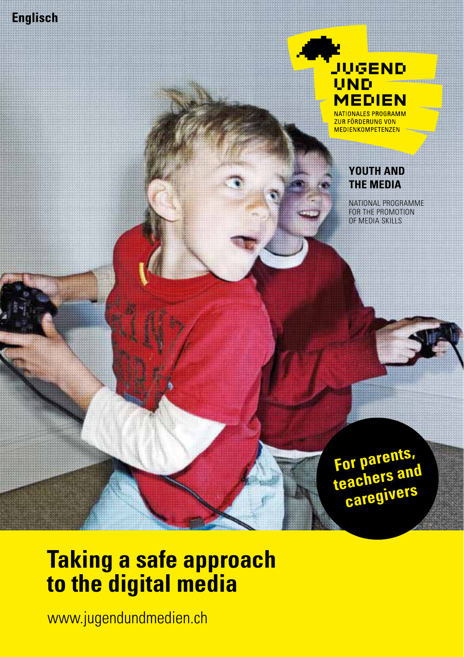

**JUGEND** UND **MEDIEN** 

NATIONALES PROGRAMM ZUR FÖRDERUNG VON **MEDIENKOMPETENZEN** 

#### **YOUTH AND THE MEDIA**

NATIONAL PROGRAMME FOR THE PROMOTION OF MEDIA SKILLS

**For parents, teachers and caregivers**

# **Taking a safe approach to the digital media**

www.jugendundmedien.ch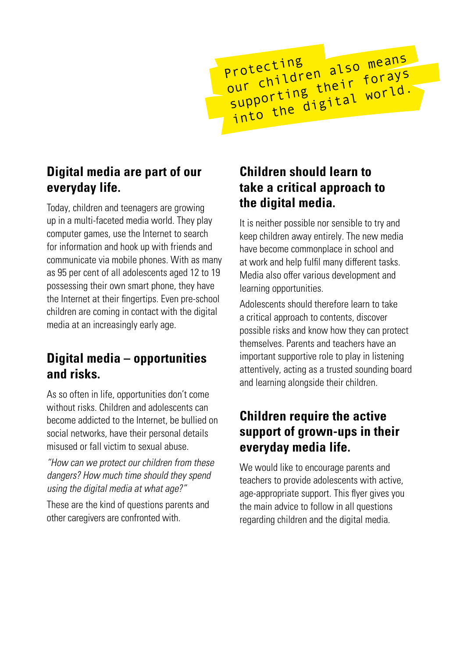protecting<br>our children also means<br>our ching their world. protecting<br>our children also means<br>supporting their forays into the digital world.

# **Digital media are part of our everyday life.**

Today, children and teenagers are growing up in a multi-faceted media world. They play computer games, use the Internet to search for information and hook up with friends and communicate via mobile phones. With as many as 95 per cent of all adolescents aged 12 to 19 possessing their own smart phone, they have the Internet at their fingertips. Even pre-school children are coming in contact with the digital media at an increasingly early age.

### **Digital media – opportunities and risks.**

As so often in life, opportunities don't come without risks. Children and adolescents can become addicted to the Internet, be bullied on social networks, have their personal details misused or fall victim to sexual abuse.

"How can we protect our children from these dangers? How much time should they spend using the digital media at what age?"

These are the kind of questions parents and other caregivers are confronted with.

# **Children should learn to take a critical approach to the digital media.**

It is neither possible nor sensible to try and keep children away entirely. The new media have become commonplace in school and at work and help fulfil many different tasks. Media also offer various development and learning opportunities.

Adolescents should therefore learn to take a critical approach to contents, discover possible risks and know how they can protect themselves. Parents and teachers have an important supportive role to play in listening attentively, acting as a trusted sounding board and learning alongside their children.

# **Children require the active support of grown-ups in their everyday media life.**

We would like to encourage parents and teachers to provide adolescents with active, age-appropriate support. This flyer gives you the main advice to follow in all questions regarding children and the digital media.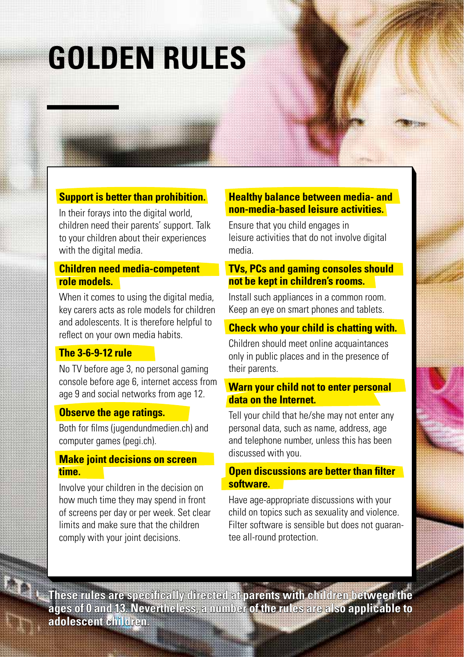# **GOLDEN RULES**

#### **Support is better than prohibition.**

In their forays into the digital world, children need their parents' support. Talk to your children about their experiences with the digital media.

#### **Children need media-competent role models.**

When it comes to using the digital media, key carers acts as role models for children and adolescents. It is therefore helpful to reflect on your own media habits.

#### **The 3-6-9-12 rule**

No TV before age 3, no personal gaming console before age 6, internet access from age 9 and social networks from age 12.

#### **Observe the age ratings.**

Both for films (jugendundmedien.ch) and computer games (pegi.ch).

#### **Make joint decisions on screen time.**

Involve your children in the decision on how much time they may spend in front of screens per day or per week. Set clear limits and make sure that the children comply with your joint decisions.

#### **Healthy balance between media- and non-media-based leisure activities.**

Ensure that you child engages in leisure activities that do not involve digital media.

#### **TVs, PCs and gaming consoles should not be kept in children's rooms.**

Install such appliances in a common room. Keep an eye on smart phones and tablets.

#### **Check who your child is chatting with.**

Children should meet online acquaintances only in public places and in the presence of their parents.

#### **Warn your child not to enter personal data on the Internet.**

Tell your child that he/she may not enter any personal data, such as name, address, age and telephone number, unless this has been discussed with you.

#### **Open discussions are better than filter software.**

Have age-appropriate discussions with your child on topics such as sexuality and violence. Filter software is sensible but does not quarantee all-round protection.

**These rules are specifically directed at parents with children between the ages of 0 and 13. Nevertheless, a number of the rules are also applicable to adolescent children.**